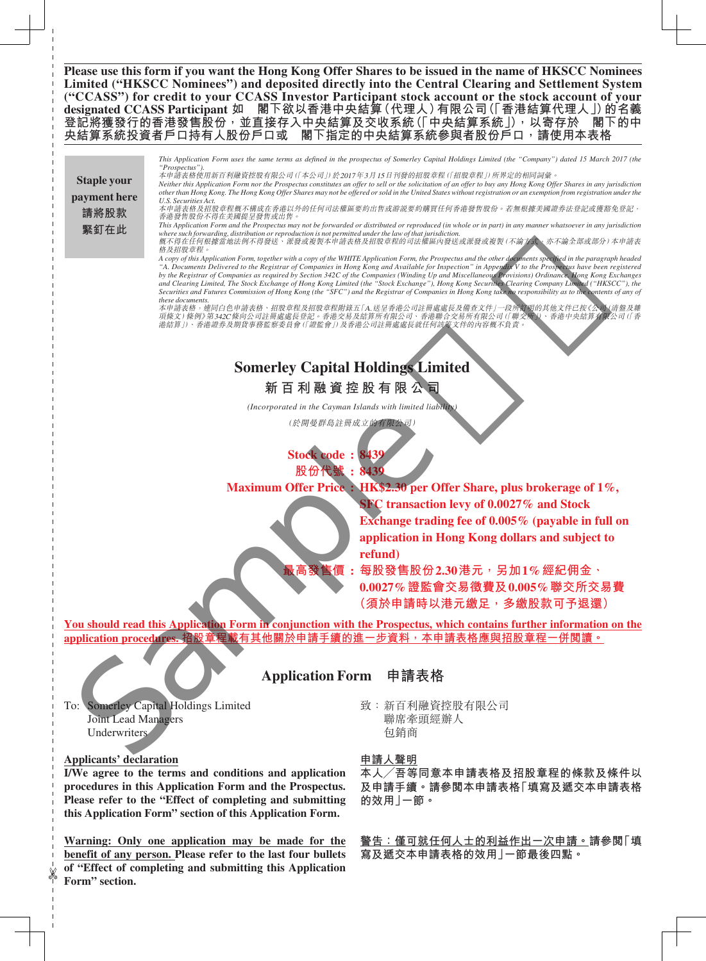**Please use this form if you want the Hong Kong Offer Shares to be issued in the name of HKSCC Nominees Limited ("HKSCC Nominees") and deposited directly into the Central Clearing and Settlement System ("CCASS") for credit to your CCASS Investor Participant stock account or the stock account of your**  designated CCASS Participant 如 閣下欲以香港中央結算(代理人)有限公司(「香港結算代理人」)的名義 登記將獲發行的香港發售股份<sup>,</sup>並直接存入中央結算及交收系統 (「中央結算系統」),以寄存於 閣下的中<br>央結算系統投資者戶口持有人股份戶口或 閣下指定的中央結算系統參與者股份戶口,請使用本表格  **閣下指定的中央結算系統參與者股份戶口<sup>,</sup>請使用本表格** 

This Application Form uses the same terms as defined in the prospectus of Somerley Capital Holdings Limited (the "Company") dated 15 March 2017 (the *"Prospectus").* 本申請表格使用新百利融資控股有限公司(「本公司」)於2017年3月15日刊發的招股章程(「招股章程」)所界定的相同詞彙。 *Neither this Application Form nor the Prospectus constitutes an offer to sell or the solicitation of an offer to buy any Hong Kong Offer Shares in any jurisdiction other than Hong Kong. The Hong Kong Offer Shares may not be offered or sold in the United States without registration or an exemption from registration under the U.S. Securities Act.* 。<br>本申請表格及招股章程概不構成在香港以外的任何司法權區要約出售或游説要約購買任何香港發售股份。若無根據美國證券法登記或獲豁免登記, **香港發售股份不得在美國提呈發售或出售** This Application Form and the Prospectus may not be forwarded or distributed or reproduced (in whole or in part) in any manner whatsoever in any jurisdiction<br>where such forwarding, distribution or reproduction is not permi 概不得在任何根據當地法例不得發送, 派發或複製本申請表格及招股章程的司法權區內發送或派發或複製(不論方式,亦不論全部或部分)本申請表 格及招股章程。 *A copy of this Application Form, together with a copy of the WHITE Application Form, the Prospectus and the other documents specified in the paragraph headed "A. Documents Delivered to the Registrar of Companies in Hong Kong and Available for Inspection" in Appendix V to the Prospectus have been registered*  by the Registrar of Companies as required by Section 342C of the Companies (Winding Up and Miscellaneous Provisions) Ordinance. Hong Kong Exchanges<br>and Clearing Limited, The Stock Exchange of Hong Kong Limited (the "Stock **Staple your payment here 請將股款 緊釘在此** The second state of the second state of the second state of the second state of the second state of the second state of the second state of the second state of the second state of the second state of the second state of

Securities and Futures Commission of Hong Kong (the "SFC") and the Registrar of Companies in Hong Kong take no responsibility as to the contents of any of *these documents.* -----------------------<br>本申請表格,連同白色申請表格、招股章程及招股章程附錄五「A.送呈香港公司註冊處處長及備查文件」一段所訂明的其他文件已按《公司(清盤及雜 項條文)條例》第342C條向公司註冊處處長登記。香港交易及結算所有限公司、香港聯合交易所有限公司(「聯交所」)、香港中央結算有限公司(「香 港結算」)、香港證券及期貨事務監察委員會(「證監會」)及香港公司註冊處處長就任何該等文件的內容概不負責。

# **Somerley Capital Holdings Limited**

**新百利融資控股有限公司**

*(Incorporated in the Cayman Islands with limited liability)*

(於開曼群島註冊成立的有限公司)

**Stock code : 843 股份代號 : 8439**

**Maximum Offer Price : HK\$2.30 per Offer Share, plus brokerage of 1%, SFC transaction levy of 0.0027% and Stock Exchange trading fee of 0.005% (payable in full on application in Hong Kong dollars and subject to refund)** 

> **最高發售價 : 每股發售股份2.30港元,另加1%經紀佣金、 0.0027%證監會交易徵費及0.005%聯交所交易費**

> > **(須於申請時以港元繳足,多繳股款可予退還)**

**You should read this Application Form in conjunction with the Prospectus, which contains further information on the application procedures. 招股章程載有其他關於申請手續的進一步資料,本申請表格應與招股章程一併閱讀。**

**Application Form 申請表格**

To: Somerley Capital Holdings Limited Joint Lead Managers Underwriters

## **Applicants' declaration**

**I/We agree to the terms and conditions and application procedures in this Application Form and the Prospectus. Please refer to the "Effect of completing and submitting this Application Form" section of this Application Form.** 

**Warning: Only one application may be made for the benefit of any person. Please refer to the last four bullets of "Effect of completing and submitting this Application Form" section.**

致:新百利融資控股有限公司 聯席牽頭經辦人 包銷商

#### **申請人聲明**

**本人╱吾等同意本申請表格及招股章程的條款及條件以 及申請手續。請參閱本申請表格「填寫及遞交本申請表格 的效用」一節。**

**警告:僅可就任何人士的利益作出一次申請。請參閱「填 寫及遞交本申請表格的效用」一節最後四點。**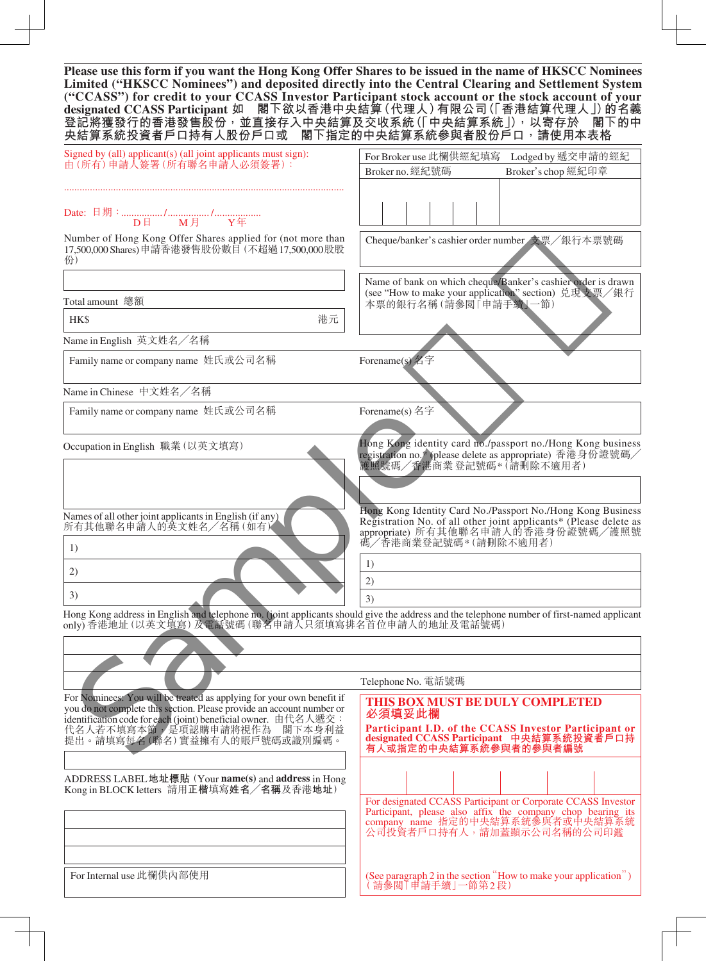**Please use this form if you want the Hong Kong Offer Shares to be issued in the name of HKSCC Nominees Limited ("HKSCC Nominees") and deposited directly into the Central Clearing and Settlement System ("CCASS") for credit to your CCASS Investor Participant stock account or the stock account of your designated CCASS Participant 如 閣下欲以香港中央結算(代理人)有限公司(「香港結算代理人」)的名義 登記將獲發行的香港發售股份,並直接存入中央結算及交收系統(「中央結算系統」),以寄存於 閣下的中 央結算系統投資者戶口持有人股份戶口或 閣下指定的中央結算系統參與者股份戶口,請使用本表格**

| Signed by (all) applicant(s) (all joint applicants must sign):<br>由(所有)申請人簽署(所有聯名申請人必須簽署):                                                                                                                       | For Broker use 此欄供經紀填寫<br>Lodged by 遞交申請的經紀                                                                                                                                                 |  |  |  |  |  |
|------------------------------------------------------------------------------------------------------------------------------------------------------------------------------------------------------------------|---------------------------------------------------------------------------------------------------------------------------------------------------------------------------------------------|--|--|--|--|--|
|                                                                                                                                                                                                                  | Broker no. 經紀號碼<br>Broker's chop 經紀印章                                                                                                                                                       |  |  |  |  |  |
|                                                                                                                                                                                                                  |                                                                                                                                                                                             |  |  |  |  |  |
| <b>M月 Y年</b><br>$D \boxplus$                                                                                                                                                                                     |                                                                                                                                                                                             |  |  |  |  |  |
| Number of Hong Kong Offer Shares applied for (not more than<br>17,500,000 Shares)申請香港發售股份數目 (不超過17,500,000 股股<br>份)                                                                                              | Cheque/banker's cashier order number 支票/銀行本票號碼                                                                                                                                              |  |  |  |  |  |
|                                                                                                                                                                                                                  | Name of bank on which cheque/Banker's cashier order is drawn                                                                                                                                |  |  |  |  |  |
| Total amount 總額                                                                                                                                                                                                  | (see "How to make your application" section) 兑現支票/銀行<br>本票的銀行名稱(請參閱「申請手續」一節)                                                                                                                |  |  |  |  |  |
| HK\$<br>港元                                                                                                                                                                                                       |                                                                                                                                                                                             |  |  |  |  |  |
|                                                                                                                                                                                                                  |                                                                                                                                                                                             |  |  |  |  |  |
| Name in English 英文姓名/名稱                                                                                                                                                                                          |                                                                                                                                                                                             |  |  |  |  |  |
| Family name or company name 姓氏或公司名稱                                                                                                                                                                              | Forename(s) 名字                                                                                                                                                                              |  |  |  |  |  |
| Name in Chinese 中文姓名/名稱                                                                                                                                                                                          |                                                                                                                                                                                             |  |  |  |  |  |
| Family name or company name 姓氏或公司名稱                                                                                                                                                                              | Forename(s) 名字                                                                                                                                                                              |  |  |  |  |  |
|                                                                                                                                                                                                                  |                                                                                                                                                                                             |  |  |  |  |  |
| Occupation in English 職業 (以英文填寫)                                                                                                                                                                                 | Hong Kong identity card no./passport no./Hong Kong business<br>registration no.* (please delete as appropriate) 香港身份證號碼/<br>護照號碼/香港商業 登記號碼 * (請刪除不適用者)                                      |  |  |  |  |  |
|                                                                                                                                                                                                                  |                                                                                                                                                                                             |  |  |  |  |  |
| Names of all other joint applicants in English (if any)<br>所有其他聯名申請人的英文姓名/名稱(如有)                                                                                                                                 | Hong Kong Identity Card No./Passport No./Hong Kong Business<br>Registration No. of all other joint applicants* (Please delete as appropriate) 所有其他聯名申請人的香港身份證號碼/護照號<br>碼/香港商業登記號碼*(請刪除不適用者) |  |  |  |  |  |
| 1)                                                                                                                                                                                                               | 1)                                                                                                                                                                                          |  |  |  |  |  |
| 2)                                                                                                                                                                                                               | 2)                                                                                                                                                                                          |  |  |  |  |  |
| 3)                                                                                                                                                                                                               | 3)                                                                                                                                                                                          |  |  |  |  |  |
| Hong Kong address in English and telephone no. (joint applicants should give the address and the telephone number of first-named applicant<br>only) 香港地址(以英文填寫) 及電話號碼(聯名申請人只須填寫排名首位申請人的地址及電話號碼)                  |                                                                                                                                                                                             |  |  |  |  |  |
|                                                                                                                                                                                                                  |                                                                                                                                                                                             |  |  |  |  |  |
|                                                                                                                                                                                                                  |                                                                                                                                                                                             |  |  |  |  |  |
|                                                                                                                                                                                                                  | Telephone No. 電話號碼                                                                                                                                                                          |  |  |  |  |  |
| For Nominees: You will be treated as applying for your own benefit if<br>you do not complete this section. Please provide an account number or<br>identification code for each (joint) beneficial owner. 由代名人遞交: | THIS BOX MUST BE DULY COMPLETED<br>必須填妥此欄<br>Participant I.D. of the CCASS Investor Participant or                                                                                          |  |  |  |  |  |
| 代名人若不填寫本節,是項認購申請將視作為<br>閣下本身利益<br>提出。請填寫每名(聯名)實益擁有人的賬戶號碼或識別編碼。                                                                                                                                                   | designated CCASS Participant 中央結算系統投資者戶口持<br>有人或指定的中央結算系統參與者的參與者編號                                                                                                                          |  |  |  |  |  |
| ADDRESS LABEL 地址標貼 (Your name(s) and address in Hong<br>Kong in BLOCK letters 請用正楷填寫姓名/名稱及香港地址)                                                                                                                  |                                                                                                                                                                                             |  |  |  |  |  |
|                                                                                                                                                                                                                  | For designated CCASS Participant or Corporate CCASS Investor<br>Participant, please also affix the company chop bearing its company name 指定的中央結算系統參與者或中央結算系統<br>公司投資者戶口持有人,請加蓋顯示公司名稱的公司印鑑   |  |  |  |  |  |
| For Internal use 此欄供內部使用                                                                                                                                                                                         | (See paragraph 2 in the section "How to make your application") (請參閲   申請手續 ] 一節第2段)                                                                                                        |  |  |  |  |  |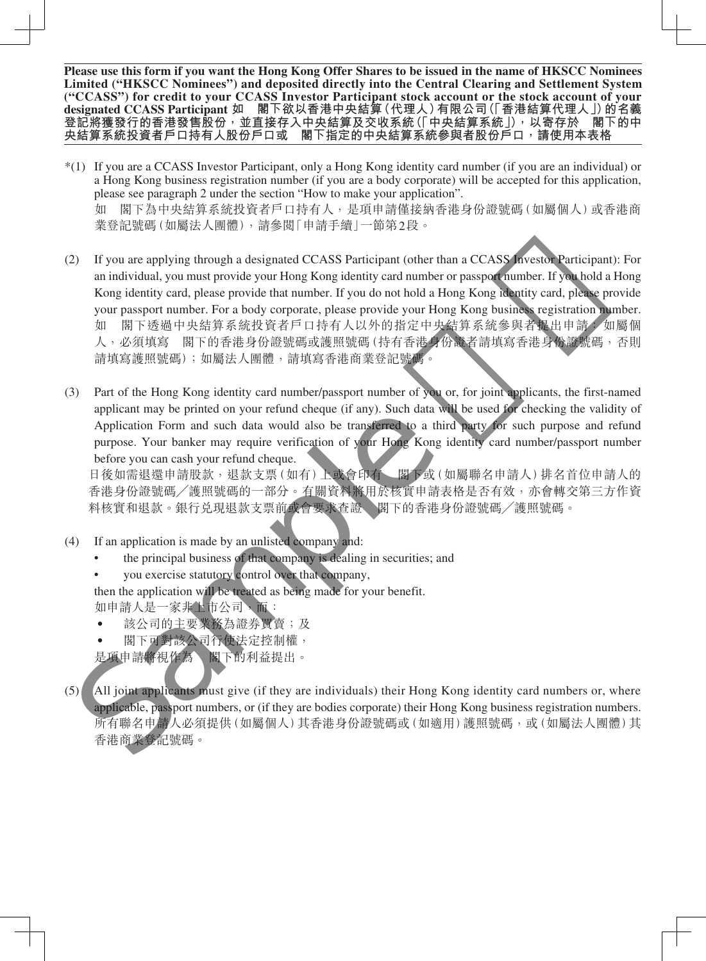**Please use this form if you want the Hong Kong Offer Shares to be issued in the name of HKSCC Nominees Limited ("HKSCC Nominees") and deposited directly into the Central Clearing and Settlement System**  ("CCASS") for credit to your CCASS Investor Participant stock account or the stock account of your<br>designated CCASS Participant 如 閣下欲以香港中央結算(代理人) 有限公司 (「香港結算代理人」) 的名義 **designated CCASS Participant 如 閣下欲以香港中央結算(代理人)有限公司(「香港結算代理人」)的名義** 登記將獲發行的香港發售股份<sup>,</sup>並直接存入中央結算及交收系統 (「中央結算系統」),以寄存於 閣下的中<br>央結算系統投資者戶口持有人股份戶口或 閣下指定的中央結算系統參與者股份戶口<sup>,</sup>請使用本表格 **閣下指定的中央結算系統參與者股份戶口,請使用本表格** 

- \*(1) If you are a CCASS Investor Participant, only a Hong Kong identity card number (if you are an individual) or a Hong Kong business registration number (if you are a body corporate) will be accepted for this application, please see paragraph 2 under the section "How to make your application". 如 閣下為中央結算系統投資者戶口持有人,是項申請僅接納香港身份證號碼(如屬個人)或香港商 業登記號碼(如屬法人團體),請參閱「申請手續」一節第2段。
- (2) If you are applying through a designated CCASS Participant (other than a CCASS Investor Participant): For an individual, you must provide your Hong Kong identity card number or passport number. If you hold a Hong Kong identity card, please provide that number. If you do not hold a Hong Kong identity card, please provide your passport number. For a body corporate, please provide your Hong Kong business registration number. 如 閣下透過中央結算系統投資者戶口持有人以外的指定中央結算系統參與者提出申請: 如屬個 人,必須填寫 閣下的香港身份證號碼或護照號碼(持有香港身份證者請填寫香港身份證號碼,否則 請填寫護照號碼);如屬法人團體,請填寫香港商業登記號碼。 or and the state of the state of the state of the state of the state of the state of the state of the state of the state of the state of the state of the state of the state of the state of the state of the state of the s
- (3) Part of the Hong Kong identity card number/passport number of you or, for joint applicants, the first-named applicant may be printed on your refund cheque (if any). Such data will be used for checking the validity of Application Form and such data would also be transferred to a third party for such purpose and refund purpose. Your banker may require verification of your Hong Kong identity card number/passport number before you can cash your refund cheque.

日後如需退還申請股款,退款支票(如有)上或會印有 閣下或(如屬聯名申請人)排名首位申請人的 香港身份證號碼╱護照號碼的一部分。有關資料將用於核實申請表格是否有效,亦會轉交第三方作資 料核實和退款。銀行兑現退款支票前或會要求查證 閣下的香港身份證號碼/護照號碼。

- (4) If an application is made by an unlisted company and:
	- the principal business of that company is dealing in securities; and
	- you exercise statutory control over that company,

then the application will be treated as being made for your benefit.

如申請人是一家非士市公司,而:

- 該公司的主要業務為證券買賣;及
- 閣下可對該公司行使法定控制權,

是項申請將視作為 閣下的利益提出。

(5) All joint applicants must give (if they are individuals) their Hong Kong identity card numbers or, where applicable, passport numbers, or (if they are bodies corporate) their Hong Kong business registration numbers. 所有聯名申請人必須提供(如屬個人)其香港身份證號碼或(如適用)護照號碼,或(如屬法人團體)其 香港商業登記號碼。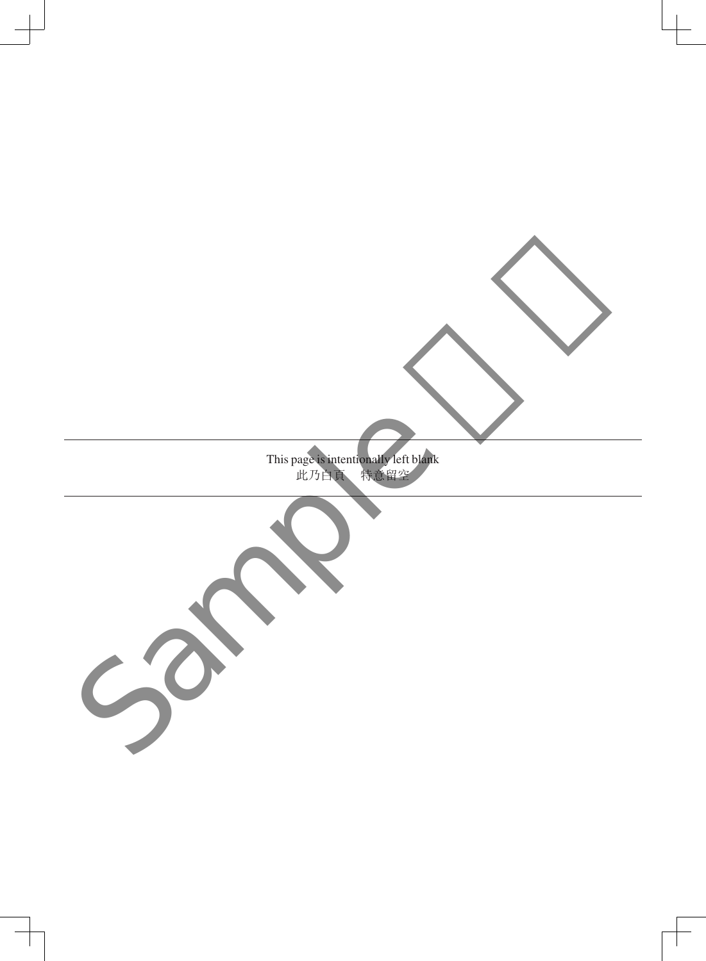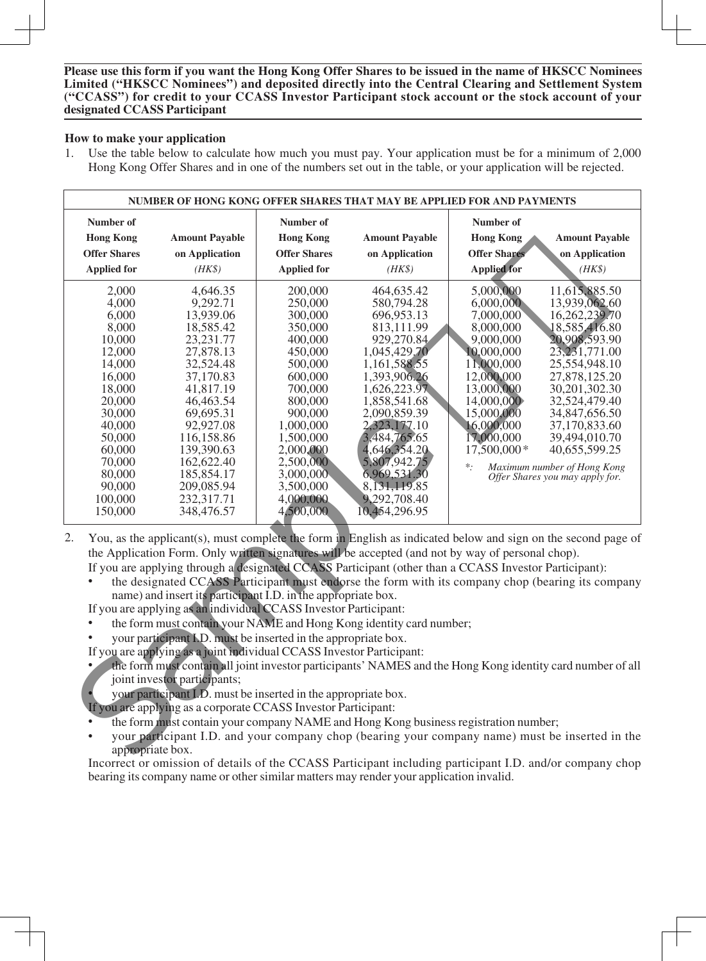## **How to make your application**

1. Use the table below to calculate how much you must pay. Your application must be for a minimum of 2,000 Hong Kong Offer Shares and in one of the numbers set out in the table, or your application will be rejected.

| <b>Number of</b>    |                                                                                                                                                                                                                    | Number of           |                       | Number of           |                                           |
|---------------------|--------------------------------------------------------------------------------------------------------------------------------------------------------------------------------------------------------------------|---------------------|-----------------------|---------------------|-------------------------------------------|
| <b>Hong Kong</b>    | <b>Amount Payable</b><br>on Application                                                                                                                                                                            | <b>Hong Kong</b>    | <b>Amount Payable</b> | <b>Hong Kong</b>    | <b>Amount Payable</b>                     |
| <b>Offer Shares</b> |                                                                                                                                                                                                                    | <b>Offer Shares</b> | on Application        | <b>Offer Shares</b> | on Application<br>$(HK\$<br>11,615,885.50 |
| <b>Applied for</b>  | $(HK\$                                                                                                                                                                                                             | <b>Applied for</b>  | $(HK\$                | <b>Applied for</b>  |                                           |
| 2,000               | 4,646.35                                                                                                                                                                                                           | 200,000             | 464,635.42            | 5,000,000           |                                           |
| 4,000               | 9,292.71                                                                                                                                                                                                           | 250,000             | 580,794.28            | 6,000,000           | 13,939,062.60                             |
| 6,000               | 13,939.06                                                                                                                                                                                                          | 300,000             | 696,953.13            | 7,000,000           | 16,262,239.70                             |
| 8,000               | 18,585.42                                                                                                                                                                                                          | 350,000             | 813,111.99            | 8,000,000           | 18,585,416.80                             |
| 10,000              | 23,231.77                                                                                                                                                                                                          | 400,000             | 929,270.84            | 9,000,000           | 20,908,593.90                             |
| 12,000              | 27,878.13                                                                                                                                                                                                          | 450,000             | 1,045,429.70          | 10,000,000          | 23, 231, 771.00                           |
| 14,000              | 32,524.48                                                                                                                                                                                                          | 500,000             | 1,161,588.55          | 11,000,000          | 25,554,948.10                             |
| 16,000              | 37,170.83                                                                                                                                                                                                          | 600,000             | 1,393,906.26          | 12,000,000          | 27,878,125.20                             |
| 18,000              | 41,817.19                                                                                                                                                                                                          | 700,000             | 1,626,223.97          | 13,000,000          | 30,201,302.30                             |
| 20,000              | 46,463.54                                                                                                                                                                                                          | 800,000             | 1,858,541.68          | 14,000,000          | 32,524,479.40                             |
| 30,000              | 69,695.31                                                                                                                                                                                                          | 900,000             | 2,090,859.39          | 15,000,000          | 34,847,656.50                             |
| 40,000              | 92,927.08                                                                                                                                                                                                          | 1,000,000           | 2,323,177.10          | 16,000,000          | 37,170,833.60                             |
| 50,000              | 116,158.86                                                                                                                                                                                                         | 1,500,000           | 3,484,765.65          | 17,000,000          | 39,494,010.70                             |
| 60,000              | 139,390.63                                                                                                                                                                                                         | 2,000,000           | 4,646,354.20          | 17,500,000*         | 40,655,599.25                             |
| 70,000              | 162,622.40                                                                                                                                                                                                         | 2,500,000           | 5,807,942.75          | $\ast$ .            | Maximum number of Hong Kong               |
| 80,000              | 185,854.17                                                                                                                                                                                                         | 3,000,000           | 6,969,531.30          |                     | Offer Shares you may apply for.           |
| 90,000              | 209,085.94                                                                                                                                                                                                         | 3,500,000           | 8, 131, 119.85        |                     |                                           |
| 100,000             | 232,317.71                                                                                                                                                                                                         | 4,000,000           | 9,292,708.40          |                     |                                           |
| 150,000             | 348,476.57                                                                                                                                                                                                         | 4,500,000           | 10,454,296.95         |                     |                                           |
|                     | You, as the applicant(s), must complete the form in English as indicated below and sign on the second page of<br>the Application Form. Only written signatures will be accepted (and not by way of personal chop). |                     |                       |                     |                                           |
|                     | If you are applying through a designated CCASS Participant (other than a CCASS Investor Participant):                                                                                                              |                     |                       |                     |                                           |
| $\bullet$           | the designated CCASS Participant must endorse the form with its company chop (bearing its company                                                                                                                  |                     |                       |                     |                                           |
|                     | name) and insert its participant I.D. in the appropriate box.                                                                                                                                                      |                     |                       |                     |                                           |
|                     |                                                                                                                                                                                                                    |                     |                       |                     |                                           |
|                     | If you are applying as an individual CCASS Investor Participant:                                                                                                                                                   |                     |                       |                     |                                           |
|                     | the form must contain your NAME and Hong Kong identity card number;                                                                                                                                                |                     |                       |                     |                                           |
|                     | your participant I.D. must be inserted in the appropriate box.                                                                                                                                                     |                     |                       |                     |                                           |
|                     | If you are applying as a joint individual CCASS Investor Participant:                                                                                                                                              |                     |                       |                     |                                           |
|                     | the form must contain all joint investor participants' NAMES and the Hong Kong identity card number of all                                                                                                         |                     |                       |                     |                                           |
|                     | joint investor participants;                                                                                                                                                                                       |                     |                       |                     |                                           |
|                     | your participant I.D. must be inserted in the appropriate box.                                                                                                                                                     |                     |                       |                     |                                           |
|                     | If you are applying as a corporate CCASS Investor Participant:                                                                                                                                                     |                     |                       |                     |                                           |
|                     | the form must contain your company NAME and Hong Kong business registration number;                                                                                                                                |                     |                       |                     |                                           |
|                     | your participant I.D. and your company chop (bearing your company name) must be inserted in the                                                                                                                    |                     |                       |                     |                                           |
| appropriate box.    |                                                                                                                                                                                                                    |                     |                       |                     |                                           |

- 2. You, as the applicant(s), must complete the form in English as indicated below and sign on the second page of the Application Form. Only written signatures will be accepted (and not by way of personal chop).
	- If you are applying through a designated CCASS Participant (other than a CCASS Investor Participant):
	- the designated CCASS Participant must endorse the form with its company chop (bearing its company name) and insert its participant I.D. in the appropriate box.
	- If you are applying as an individual CCASS Investor Participant:
	- the form must contain your NAME and Hong Kong identity card number;
	- your participant I.D. must be inserted in the appropriate box.
	- If you are applying as a joint individual CCASS Investor Participant:
	- the form must contain all joint investor participants' NAMES and the Hong Kong identity card number of all joint investor participants;
	- your participant I.D. must be inserted in the appropriate box.
	- If you are applying as a corporate CCASS Investor Participant:
	- the form must contain your company NAME and Hong Kong business registration number;
	- your participant I.D. and your company chop (bearing your company name) must be inserted in the appropriate box.

Incorrect or omission of details of the CCASS Participant including participant I.D. and/or company chop bearing its company name or other similar matters may render your application invalid.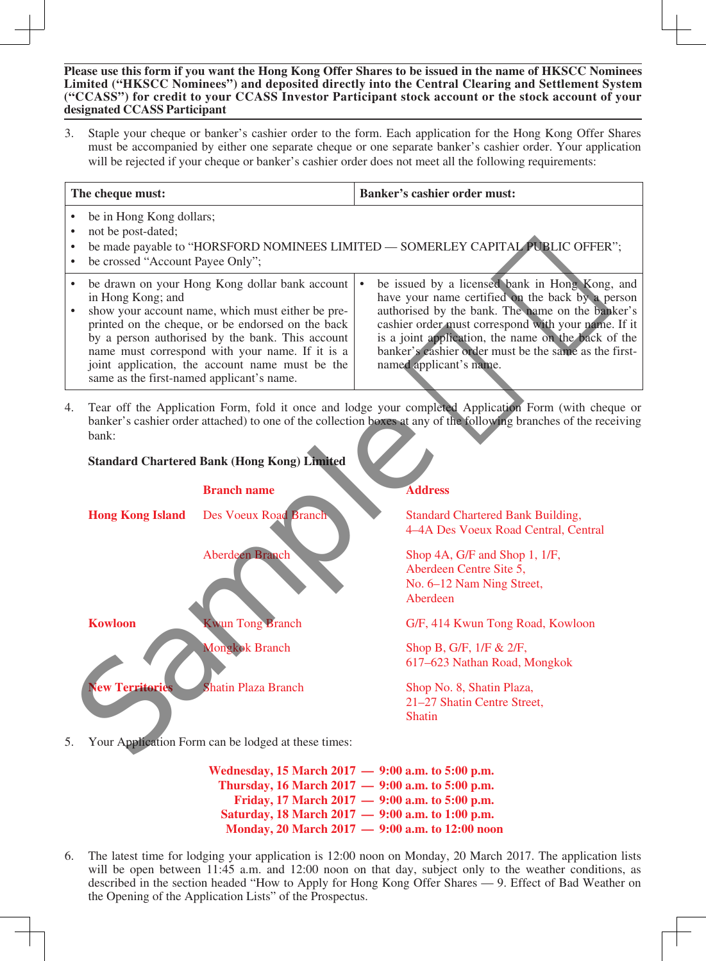3. Staple your cheque or banker's cashier order to the form. Each application for the Hong Kong Offer Shares must be accompanied by either one separate cheque or one separate banker's cashier order. Your application will be rejected if your cheque or banker's cashier order does not meet all the following requirements:

| The cheque must:                                                                                                                                                                                                                                                                                                                                                                     | <b>Banker's cashier order must:</b>                                                                                                                                                                                                                                                                                                                      |
|--------------------------------------------------------------------------------------------------------------------------------------------------------------------------------------------------------------------------------------------------------------------------------------------------------------------------------------------------------------------------------------|----------------------------------------------------------------------------------------------------------------------------------------------------------------------------------------------------------------------------------------------------------------------------------------------------------------------------------------------------------|
| be in Hong Kong dollars;<br>not be post-dated;<br>be made payable to "HORSFORD NOMINEES LIMITED — SOMERLEY CAPITAL PUBLIC OFFER";<br>be crossed "Account Payee Only";                                                                                                                                                                                                                |                                                                                                                                                                                                                                                                                                                                                          |
| be drawn on your Hong Kong dollar bank account<br>in Hong Kong; and<br>show your account name, which must either be pre-<br>printed on the cheque, or be endorsed on the back<br>by a person authorised by the bank. This account<br>name must correspond with your name. If it is a<br>joint application, the account name must be the<br>same as the first-named applicant's name. | be issued by a licensed bank in Hong Kong, and<br>have your name certified on the back by a person<br>authorised by the bank. The name on the banker's<br>cashier order must correspond with your name. If it<br>is a joint application, the name on the back of the<br>banker's cashier order must be the same as the first-<br>named applicant's name. |

4. Tear off the Application Form, fold it once and lodge your completed Application Form (with cheque or banker's cashier order attached) to one of the collection boxes at any of the following branches of the receiving bank:



5. Your Application Form can be lodged at these times:

**Wednesday, 15 March 2017 — 9:00 a.m. to 5:00 p.m. Thursday, 16 March 2017 — 9:00 a.m. to 5:00 p.m. Friday, 17 March 2017 — 9:00 a.m. to 5:00 p.m. Saturday, 18 March 2017 — 9:00 a.m. to 1:00 p.m. Monday, 20 March 2017 — 9:00 a.m. to 12:00 noon**

6. The latest time for lodging your application is 12:00 noon on Monday, 20 March 2017. The application lists will be open between 11:45 a.m. and 12:00 noon on that day, subject only to the weather conditions, as described in the section headed "How to Apply for Hong Kong Offer Shares — 9. Effect of Bad Weather on the Opening of the Application Lists" of the Prospectus.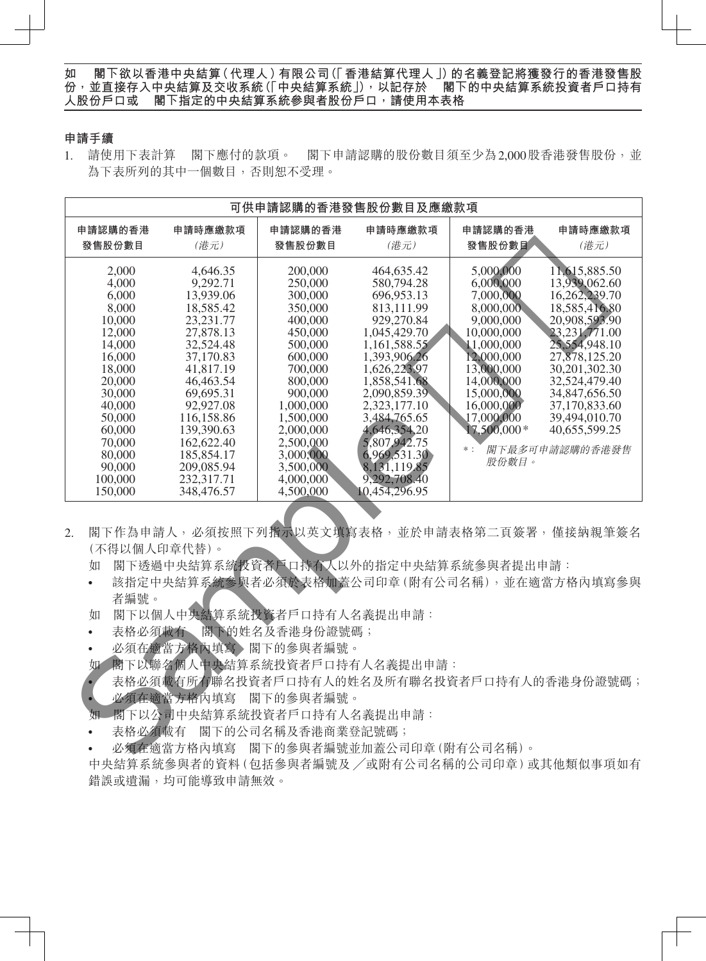## **申請手續**

1. 請使用下表計算 閣下應付的款項。 閣下申請認購的股份數目須至少為2,000股香港發售股份,並 為下表所列的其中一個數目,否則恕不受理。

|                                                                                       |                                                    |                    | 可供申請認購的香港發售股份數目及應繳款項                                                                                                                                                                                                 |                          |                                |
|---------------------------------------------------------------------------------------|----------------------------------------------------|--------------------|----------------------------------------------------------------------------------------------------------------------------------------------------------------------------------------------------------------------|--------------------------|--------------------------------|
| 申請認購的香港                                                                               | 申請時應繳款項                                            | 申請認購的香港            | 申請時應繳款項                                                                                                                                                                                                              | 申請認購的香港                  | 申請時應繳款項                        |
| 發售股份數目                                                                                | (港元)                                               | 發售股份數目             | (港元)                                                                                                                                                                                                                 | 發售股份數目                   | (港元)                           |
| 2,000                                                                                 | 4,646.35                                           | 200,000            | 464,635.42                                                                                                                                                                                                           | 5,000,000                | 11,615,885.50                  |
| 4,000                                                                                 | 9,292.71                                           | 250,000            | 580,794.28                                                                                                                                                                                                           | 6,000,000                | 13,939,062.60                  |
| 6,000                                                                                 | 13,939.06                                          | 300,000            | 696,953.13                                                                                                                                                                                                           | 7,000,000                | 16,262,239.70                  |
| 8,000                                                                                 | 18,585.42                                          | 350,000            | 813,111.99                                                                                                                                                                                                           | 8,000,000                | 18,585,416.80                  |
| 10,000                                                                                | 23, 231. 77                                        | 400,000            | 929,270.84                                                                                                                                                                                                           | 9,000,000                | 20,908,593.90                  |
| 12,000                                                                                | 27,878.13                                          | 450,000            | 1,045,429.70                                                                                                                                                                                                         | 10,000,000               | 23, 231, 771.00                |
| 14,000                                                                                | 32,524.48                                          | 500,000            | 1,161,588.55                                                                                                                                                                                                         | 11,000,000               | 25,554,948.10                  |
| 16,000                                                                                | 37,170.83                                          | 600,000            | 1,393,906.26                                                                                                                                                                                                         | 12,000,000               | 27,878,125.20                  |
| 18,000                                                                                | 41,817.19                                          | 700,000            | 1,626,223.97                                                                                                                                                                                                         | 13,000,000               | 30,201,302.30                  |
| 20,000<br>30,000                                                                      | 46,463.54<br>69,695.31                             | 800,000<br>900,000 | 1,858,541.68<br>2,090,859.39                                                                                                                                                                                         | 14,000,000<br>15,000,000 | 32,524,479.40<br>34,847,656.50 |
| 40,000                                                                                | 92,927.08                                          | 1,000,000          | 2,323,177.10                                                                                                                                                                                                         | 16,000,000               | 37,170,833.60                  |
| 50,000                                                                                | 116,158.86                                         | 1,500,000          | 3,484,765.65                                                                                                                                                                                                         | 17,000,000               | 39,494,010.70                  |
| 60,000                                                                                | 139,390.63                                         | 2,000,000          | 4,646,354.20                                                                                                                                                                                                         | $17,500,000*$            | 40,655,599.25                  |
| 70,000                                                                                | 162,622.40                                         | 2,500,000          | 5,807,942.75                                                                                                                                                                                                         |                          |                                |
| 80,000                                                                                | 185,854.17                                         | 3,000,000          | 6,969,531.30                                                                                                                                                                                                         | $*$ :                    | 閣下最多可申請認購的香港發售                 |
| 90,000                                                                                | 209,085.94                                         | 3,500,000          | 8.131,119.85                                                                                                                                                                                                         | 股份數目。                    |                                |
| 100,000                                                                               | 232,317.71                                         | 4,000,000          | 9,292,708.40                                                                                                                                                                                                         |                          |                                |
| 150,000                                                                               | 348,476.57                                         | 4,500,000          | 10,454,296.95                                                                                                                                                                                                        |                          |                                |
| 2.<br>(不得以個人印章代替)。<br>如<br>$\bullet$<br>者編號。<br>如<br>表格必須載有<br>$\bullet$<br>$\bullet$ | 閣下以個人中央結算系統投資者戶口持有人名義提出申請:<br>必須在適當方格內填寫、閣下的參與者編號。 | 閣下的姓名及香港身份證號碼;     | 閣下作為申請人,必須按照下列指示以英文填寫表格,並於申請表格第二頁簽署,僅接納親筆簽名<br>閣下透過中央結算系統投資者戶口持有人以外的指定中央結算系統參與者提出申請:<br>該指定中央結算系統參與者必須於表格加蓋公司印章(附有公司名稱),並在適當方格內填寫參與<br>如一閣下以聯名個人中央結算系統投資者戶口持有人名義提出申請:<br>表格必須載有所有聯名投資者戶口持有人的姓名及所有聯名投資者戶口持有人的香港身份證號碼; |                          |                                |
|                                                                                       | 必須在適當方格內填寫 閣下的參與者編號。                               |                    |                                                                                                                                                                                                                      |                          |                                |
| 妞                                                                                     | 閣下以公司中央結算系統投資者戶口持有人名義提出申請:                         |                    |                                                                                                                                                                                                                      |                          |                                |
|                                                                                       | 表格必須載有 閣下的公司名稱及香港商業登記號碼;                           |                    |                                                                                                                                                                                                                      |                          |                                |
|                                                                                       |                                                    |                    | 必須在適當方格內填寫 閣下的參與者編號並加蓋公司印章 (附有公司名稱)。                                                                                                                                                                                 |                          |                                |
|                                                                                       |                                                    |                    |                                                                                                                                                                                                                      |                          |                                |

- 2. 閣下作為申請人,必須按照下列指示以英文填寫表格,並於申請表格第二頁簽署,僅接納親筆簽名 (不得以個人印章代替)。
	- 如 閣下透過中央結算系統投資者戶口持有人以外的指定中央結算系統參與者提出申請:
	- 該指定中央結算系統參與者必須於表格加蓋公司印章(附有公司名稱),並在適當方格內填寫參與 者編號。
	- 如 閣下以個人中央結算系統投資者戶口持有人名義提出申請:
	- 表格必須載有 閣下的姓名及香港身份證號碼;
	- 必須在適當方格內填寫 閣下的參與者編號。
	- 如 閣下以聯名個人中央結算系統投資者戶口持有人名義提出申請:

- 如一閣下以公司中央結算系統投資者戶口持有人名義提出申請:
- 表格必須載有 閣下的公司名稱及香港商業登記號碼;

中央結算系統參與者的資料(包括參與者編號及 ╱或附有公司名稱的公司印章)或其他類似事項如有 錯誤或遺漏,均可能導致申請無效。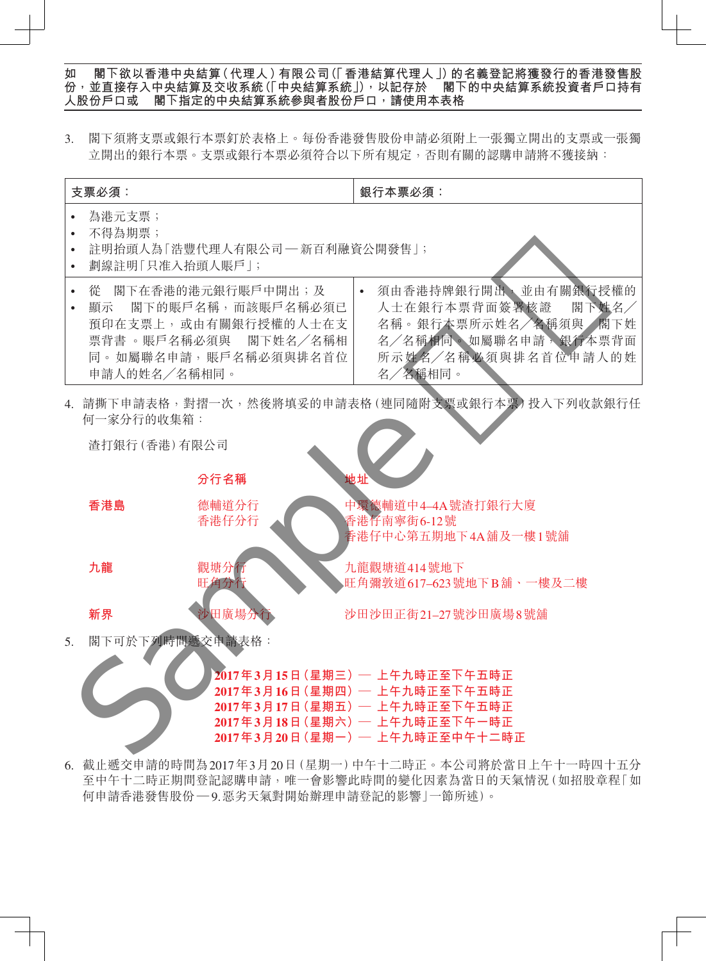3. 閣下須將支票或銀行本票釘於表格上。每份香港發售股份申請必須附上一張獨立開出的支票或一張獨 立開出的銀行本票。支票或銀行本票必須符合以下所有規定,否則有關的認購申請將不獲接納:





6. 截止遞交申請的時間為2017年3月20日(星期一)中午十二時正。本公司將於當日上午十一時四十五分 至中午十二時正期間登記認購申請,唯一會影響此時間的變化因素為當日的天氣情況(如招股章程「如 何申請香港發售股份 — 9.惡劣天氣對開始辦理申請登記的影響」一節所述)。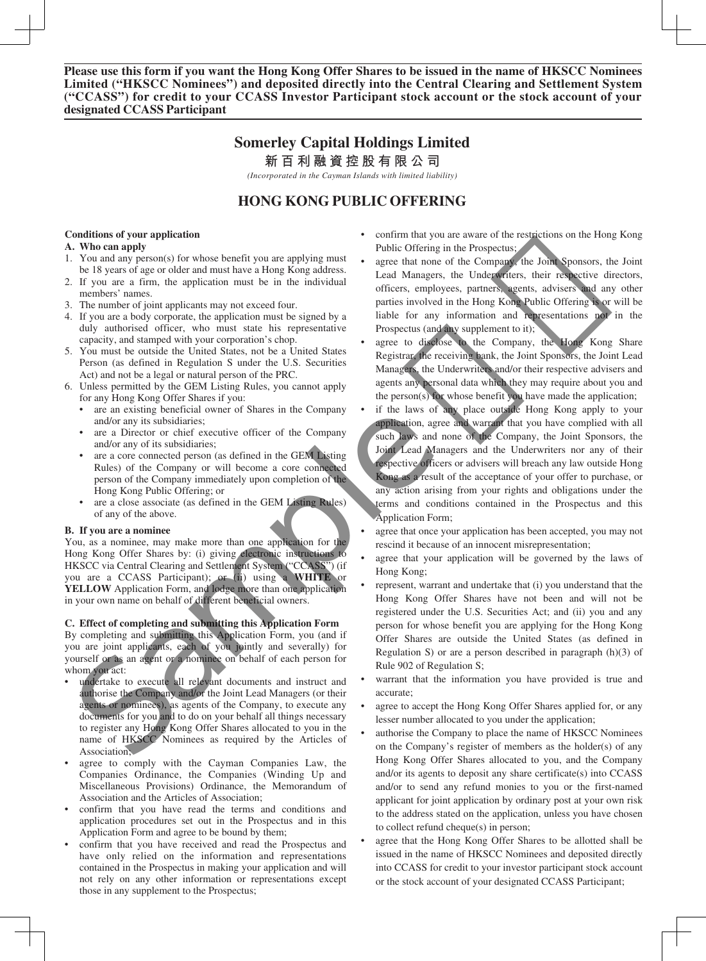# **Somerley Capital Holdings Limited**

**新百利融資控股有限公司**

*(Incorporated in the Cayman Islands with limited liability)*

# **HONG KONG PUBLIC OFFERING**

#### **Conditions of your application**

#### **A. Who can apply**

- 1. You and any person(s) for whose benefit you are applying must be 18 years of age or older and must have a Hong Kong address.
- 2. If you are a firm, the application must be in the individual members' names.
- 3. The number of joint applicants may not exceed four.
- 4. If you are a body corporate, the application must be signed by a duly authorised officer, who must state his representative capacity, and stamped with your corporation's chop.
- 5. You must be outside the United States, not be a United States Person (as defined in Regulation S under the U.S. Securities Act) and not be a legal or natural person of the PRC.
- 6. Unless permitted by the GEM Listing Rules, you cannot apply for any Hong Kong Offer Shares if you:
	- are an existing beneficial owner of Shares in the Company and/or any its subsidiaries;
	- are a Director or chief executive officer of the Company and/or any of its subsidiaries;
	- are a core connected person (as defined in the GEM Listing Rules) of the Company or will become a core connected person of the Company immediately upon completion of the Hong Kong Public Offering; or
	- are a close associate (as defined in the GEM Listing Rules) of any of the above.

#### **B. If you are a nominee**

You, as a nominee, may make more than one application for the Hong Kong Offer Shares by: (i) giving electronic instructions to HKSCC via Central Clearing and Settlement System ("CCASS") (if you are a CCASS Participant); or (ii) using a **WHITE** or **YELLOW** Application Form, and lodge more than one application in your own name on behalf of different beneficial owners.

## **C. Effect of completing and submitting this Application Form**

By completing and submitting this Application Form, you (and if you are joint applicants, each of you jointly and severally) for yourself or as an agent or a nominee on behalf of each person for whom you act:

- undertake to execute all relevant documents and instruct and authorise the Company and/or the Joint Lead Managers (or their agents or nominees), as agents of the Company, to execute any documents for you and to do on your behalf all things necessary to register any Hong Kong Offer Shares allocated to you in the name of HKSCC Nominees as required by the Articles of Association;
- agree to comply with the Cayman Companies Law, the Companies Ordinance, the Companies (Winding Up and Miscellaneous Provisions) Ordinance, the Memorandum of Association and the Articles of Association;
- confirm that you have read the terms and conditions and application procedures set out in the Prospectus and in this Application Form and agree to be bound by them;
- confirm that you have received and read the Prospectus and have only relied on the information and representations contained in the Prospectus in making your application and will not rely on any other information or representations except those in any supplement to the Prospectus;
- confirm that you are aware of the restrictions on the Hong Kong Public Offering in the Prospectus;
- agree that none of the Company, the Joint Sponsors, the Joint Lead Managers, the Underwriters, their respective directors, officers, employees, partners, agents, advisers and any other parties involved in the Hong Kong Public Offering is or will be liable for any information and representations not in the Prospectus (and any supplement to it);
- agree to disclose to the Company, the Hong Kong Share Registrar, the receiving bank, the Joint Sponsors, the Joint Lead Managers, the Underwriters and/or their respective advisers and agents any personal data which they may require about you and the person(s) for whose benefit you have made the application;
- if the laws of any place outside Hong Kong apply to your application, agree and warrant that you have complied with all such laws and none of the Company, the Joint Sponsors, the Joint Lead Managers and the Underwriters nor any of their respective officers or advisers will breach any law outside Hong Kong as a result of the acceptance of your offer to purchase, or any action arising from your rights and obligations under the terms and conditions contained in the Prospectus and this Application Form; Continues of your application<br>
Samples of the continues of the Collinso of Proposition in the Samples of the Collinso Samples and the Samples and the Samples and the Samples and the Samples and the Samples and the Samples
	- agree that once your application has been accepted, you may not rescind it because of an innocent misrepresentation;
	- agree that your application will be governed by the laws of Hong Kong;
	- represent, warrant and undertake that (i) you understand that the Hong Kong Offer Shares have not been and will not be registered under the U.S. Securities Act; and (ii) you and any person for whose benefit you are applying for the Hong Kong Offer Shares are outside the United States (as defined in Regulation S) or are a person described in paragraph (h)(3) of Rule 902 of Regulation S;
	- warrant that the information you have provided is true and accurate;
	- agree to accept the Hong Kong Offer Shares applied for, or any lesser number allocated to you under the application;
	- authorise the Company to place the name of HKSCC Nominees on the Company's register of members as the holder(s) of any Hong Kong Offer Shares allocated to you, and the Company and/or its agents to deposit any share certificate(s) into CCASS and/or to send any refund monies to you or the first-named applicant for joint application by ordinary post at your own risk to the address stated on the application, unless you have chosen to collect refund cheque(s) in person;
	- agree that the Hong Kong Offer Shares to be allotted shall be issued in the name of HKSCC Nominees and deposited directly into CCASS for credit to your investor participant stock account or the stock account of your designated CCASS Participant;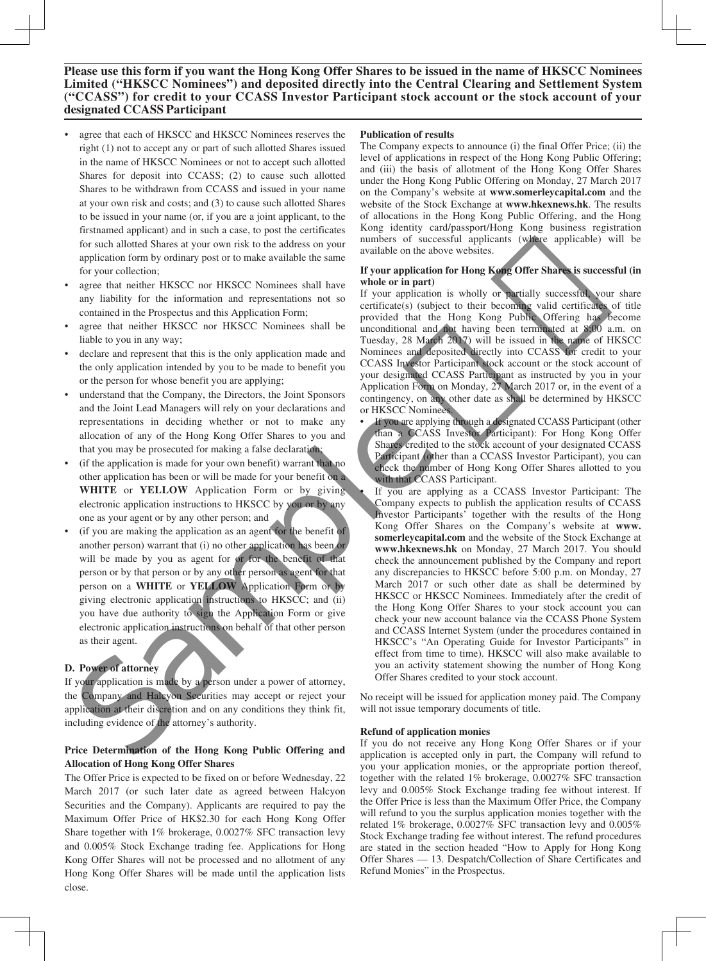- agree that each of HKSCC and HKSCC Nominees reserves the right (1) not to accept any or part of such allotted Shares issued in the name of HKSCC Nominees or not to accept such allotted Shares for deposit into CCASS; (2) to cause such allotted Shares to be withdrawn from CCASS and issued in your name at your own risk and costs; and (3) to cause such allotted Shares to be issued in your name (or, if you are a joint applicant, to the firstnamed applicant) and in such a case, to post the certificates for such allotted Shares at your own risk to the address on your application form by ordinary post or to make available the same for your collection;
- agree that neither HKSCC nor HKSCC Nominees shall have any liability for the information and representations not so contained in the Prospectus and this Application Form;
- agree that neither HKSCC nor HKSCC Nominees shall be liable to you in any way;
- declare and represent that this is the only application made and the only application intended by you to be made to benefit you or the person for whose benefit you are applying;
- understand that the Company, the Directors, the Joint Sponsors and the Joint Lead Managers will rely on your declarations and representations in deciding whether or not to make any allocation of any of the Hong Kong Offer Shares to you and that you may be prosecuted for making a false declaration;
- (if the application is made for your own benefit) warrant that no other application has been or will be made for your benefit on a **WHITE** or **YELLOW** Application Form or by giving electronic application instructions to HKSCC by you or by any one as your agent or by any other person; and
- (if you are making the application as an agent for the benefit of another person) warrant that (i) no other application has been or will be made by you as agent for or for the benefit of that person or by that person or by any other person as agent for that person on a **WHITE** or **YELLOW** Application Form or by giving electronic application instructions to HKSCC; and (ii) you have due authority to sign the Application Form or give electronic application instructions on behalf of that other person as their agent.

## **D. Power of attorney**

If your application is made by a person under a power of attorney, the Company and Halcyon Securities may accept or reject your application at their discretion and on any conditions they think fit, including evidence of the attorney's authority.

## **Price Determination of the Hong Kong Public Offering and Allocation of Hong Kong Offer Shares**

The Offer Price is expected to be fixed on or before Wednesday, 22 March 2017 (or such later date as agreed between Halcyon Securities and the Company). Applicants are required to pay the Maximum Offer Price of HK\$2.30 for each Hong Kong Offer Share together with 1% brokerage, 0.0027% SFC transaction levy and 0.005% Stock Exchange trading fee. Applications for Hong Kong Offer Shares will not be processed and no allotment of any Hong Kong Offer Shares will be made until the application lists close.

#### **Publication of results**

The Company expects to announce (i) the final Offer Price; (ii) the level of applications in respect of the Hong Kong Public Offering; and (iii) the basis of allotment of the Hong Kong Offer Shares under the Hong Kong Public Offering on Monday, 27 March 2017 on the Company's website at **www.somerleycapital.com** and the website of the Stock Exchange at **www.hkexnews.hk**. The results of allocations in the Hong Kong Public Offering, and the Hong Kong identity card/passport/Hong Kong business registration numbers of successful applicants (where applicable) will be available on the above websites.

#### **If your application for Hong Kong Offer Shares is successful (in whole or in part)**

If your application is wholly or partially successful, your share certificate(s) (subject to their becoming valid certificates of title provided that the Hong Kong Public Offering has become unconditional and not having been terminated at 8:00 a.m. on Tuesday, 28 March 2017) will be issued in the name of HKSCC Nominees and deposited directly into CCASS for credit to your CCASS Investor Participant stock account or the stock account of your designated CCASS Participant as instructed by you in your Application Form on Monday, 27 March 2017 or, in the event of a contingency, on any other date as shall be determined by HKSCC or HKSCC Nominees.

- If you are applying through a designated CCASS Participant (other than a CCASS Investor Participant): For Hong Kong Offer Shares credited to the stock account of your designated CCASS Participant (other than a CCASS Investor Participant), you can check the number of Hong Kong Offer Shares allotted to you with that CCASS Participant.
- If you are applying as a CCASS Investor Participant: The Company expects to publish the application results of CCASS Investor Participants' together with the results of the Hong Kong Offer Shares on the Company's website at **www. somerleycapital.com** and the website of the Stock Exchange at **www.hkexnews.hk** on Monday, 27 March 2017. You should check the announcement published by the Company and report any discrepancies to HKSCC before 5:00 p.m. on Monday, 27 March 2017 or such other date as shall be determined by HKSCC or HKSCC Nominees. Immediately after the credit of the Hong Kong Offer Shares to your stock account you can check your new account balance via the CCASS Phone System and CCASS Internet System (under the procedures contained in HKSCC's "An Operating Guide for Investor Participants" in effect from time to time). HKSCC will also make available to you an activity statement showing the number of Hong Kong Offer Shares credited to your stock account. to issue tanget can be a continue of the sample in the sample in the sample of the sample of the sample of the sample of the sample of the sample of the sample of the sample of the sample of the sample of the sample of th

No receipt will be issued for application money paid. The Company will not issue temporary documents of title.

#### **Refund of application monies**

If you do not receive any Hong Kong Offer Shares or if your application is accepted only in part, the Company will refund to you your application monies, or the appropriate portion thereof, together with the related 1% brokerage, 0.0027% SFC transaction levy and 0.005% Stock Exchange trading fee without interest. If the Offer Price is less than the Maximum Offer Price, the Company will refund to you the surplus application monies together with the related 1% brokerage, 0.0027% SFC transaction levy and 0.005% Stock Exchange trading fee without interest. The refund procedures are stated in the section headed "How to Apply for Hong Kong Offer Shares — 13. Despatch/Collection of Share Certificates and Refund Monies" in the Prospectus.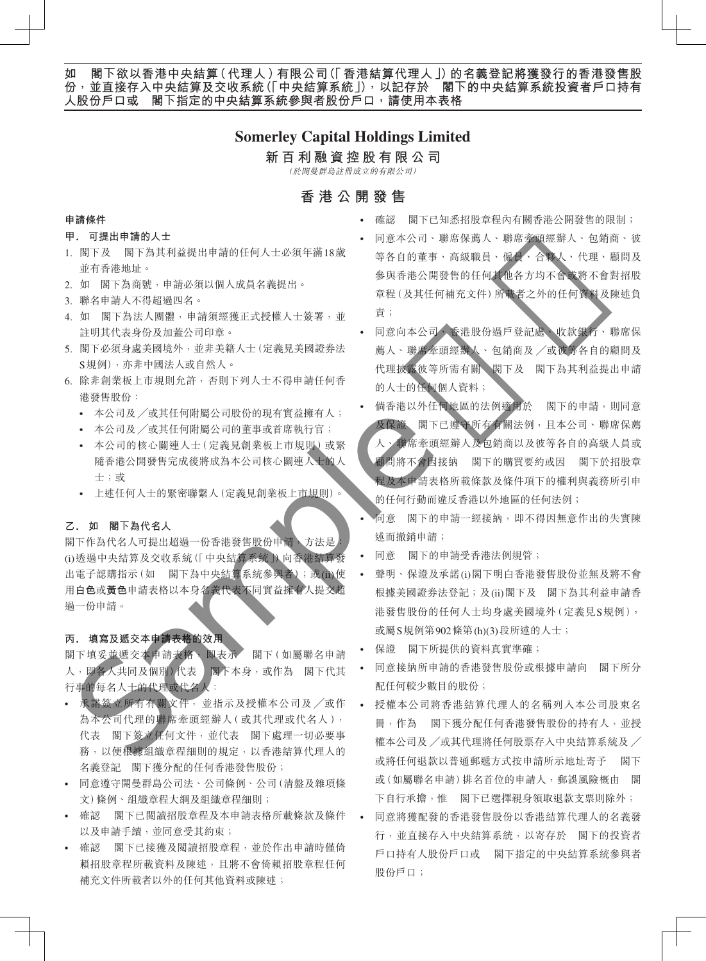## **Somerley Capital Holdings Limited**

## **新百利融資控股有限公司**

(於開曼群島註冊成立的有限公司)

## **香港公開發售**

#### **申請條件**

#### **甲. 可提出申請的人士**

- 1. 閣下及 閣下為其利益提出申請的任何人士必須年滿18歲 並有香港地址。
- 2. 如 閣下為商號,申請必須以個人成員名義提出。
- 3. 聯名申請人不得超過四名。
- 4. 如 閣下為法人團體,申請須經獲正式授權人士簽署,並 註明其代表身份及加蓋公司印章。
- 5. 閣下必須身處美國境外,並非美籍人士(定義見美國證券法 S規例),亦非中國法人或自然人。
- 6. 除非創業板上市規則允許,否則下列人士不得申請任何香 港發售股份:
	- 本公司及 ╱或其任何附屬公司股份的現有實益擁有人;
	- 本公司及 ╱或其任何附屬公司的董事或首席執行官;
	- 本公司的核心關連人士(定義見創業板上市規則)或緊 隨香港公開發售完成後將成為本公司核心關連人士的人 士;或
	- 上述任何人士的緊密聯繫人(定義見創業板上市規則)。

## **乙. 如 閣下為代名人**

閣下作為代名人可提出超過一份香港發售股份申請,方法是 (i)透過中央結算及交收系統(「中央結算系統」)向香港結算發 出電子認購指示(如 閣下為中央結算系統參與者);或(ii)使 用**白色**或**黃色**申請表格以本身名義代表不同實益擁有人提交超 過一份申請。

## **丙. 填寫及遞交本申請表格的效用**

閣下填妥並遞交本申請表格,即表示 閣下(如屬聯名申請 人,即各人共同及個別)代表 閣下本身,或作為 閣下代其 行事的每名人士的代理或代名人:

- 承諾簽立所有有關文件, 並指示及授權本公司及 ╱或作 為本公司代理的聯席牽頭經辦人(或其代理或代名人), 代表 閣下簽立任何文件,並代表 閣下處理一切必要事 務,以便根據組織章程細則的規定,以香港結算代理人的 名義登記 閣下獲分配的任何香港發售股份;
- 同意遵守開曼群島公司法、公司條例、公司(清盤及雜項條 文)條例、組織章程大綱及組織章程細則;
- 確認 閣下已閱讀招股章程及本申請表格所載條款及條件 以及申請手續,並同意受其約束;
- 確認 閣下已接獲及閱讀招股章程,並於作出申請時僅倚 賴招股章程所載資料及陳述,且將不會倚賴招股章程任何 補充文件所載者以外的任何其他資料或陳述;
- 確認 閣下已知悉招股章程內有關香港公開發售的限制;
- 同意本公司、聯席保薦人、聯席牽頭經辦人、包銷商、彼 等各自的董事、高級職員、僱員、合夥人、代理、顧問及 參與香港公開發售的任何其他各方均不會或將不會對招股 章程(及其任何補充文件)所載者之外的任何資料及陳述負 責;
- 同意向本公司、香港股份過戶登記處、收款銀行、聯席保 薦人、聯席牽頭經辦人、包銷商及 ╱或彼等各自的顧問及 代理披露彼等所需有關 閣下及 閣下為其利益提出申請 的人士的任何個人資料;
- 倘香港以外任何地區的法例適用於 閣下的申請,則同意 及保證 閣下已遵守所有有關法例,且本公司、聯席保薦 人、聯席牽頭經辦人及包銷商以及彼等各自的高級人員或 顧問將不會因接納 閣下的購買要約或因 閣下於招股章 程及本申請表格所載條款及條件項下的權利與義務所引申 的任何行動而違反香港以外地區的任何法例; **请属件。请求与机构提供的,如果是一个人的。" "我说,你说,我的人的情报的是很好的事情,我说,我们的是我的事情,我们的是我的事情,我们的是我们的,我们的是我们的,我们的是我们的,我们的是我们的,我们的是我们的,我们的是我们的,我们的是我们的,我们的是我们的,我们的是我们的,我们的是我们的,我们的是我们的,我们的是我们的,我们的是我们的,我们的是我们的,我们的是我们的,我们的是我们的,我们的是我们的,我们的是我们的,我们的是我们的,我** 
	- 同意 閣下的申請一經接納,即不得因無意作出的失實陳 述而撤銷申請;
	- 同意 閣下的申請受香港法例規管;
	- 聲明、保證及承諾(i)閣下明白香港發售股份並無及將不會 根據美國證券法登記;及(ii)閣下及 閣下為其利益申請香 港發售股份的任何人士均身處美國境外(定義見S規例), 或屬S規例第902條第(h)(3)段所述的人士;
	- 保證 閣下所提供的資料真實準確;
	- 同意接納所申請的香港發售股份或根據申請向 閣下所分 配任何較少數目的股份;
	- 授權本公司將香港結算代理人的名稱列入本公司股東名 冊,作為 閣下獲分配任何香港發售股份的持有人,並授 權本公司及 ╱或其代理將任何股票存入中央結算系統及 ╱ 或將任何退款以普通郵遞方式按申請所示地址寄予 閣下 或(如屬聯名申請)排名首位的申請人,郵誤風險概由 閣 下自行承擔,惟 閣下已選擇親身領取退款支票則除外;
	- 同意將獲配發的香港發售股份以香港結算代理人的名義發 行,並直接存入中央結算系統,以寄存於 閣下的投資者 戶口持有人股份戶口或 閣下指定的中央結算系統參與者 股份戶口;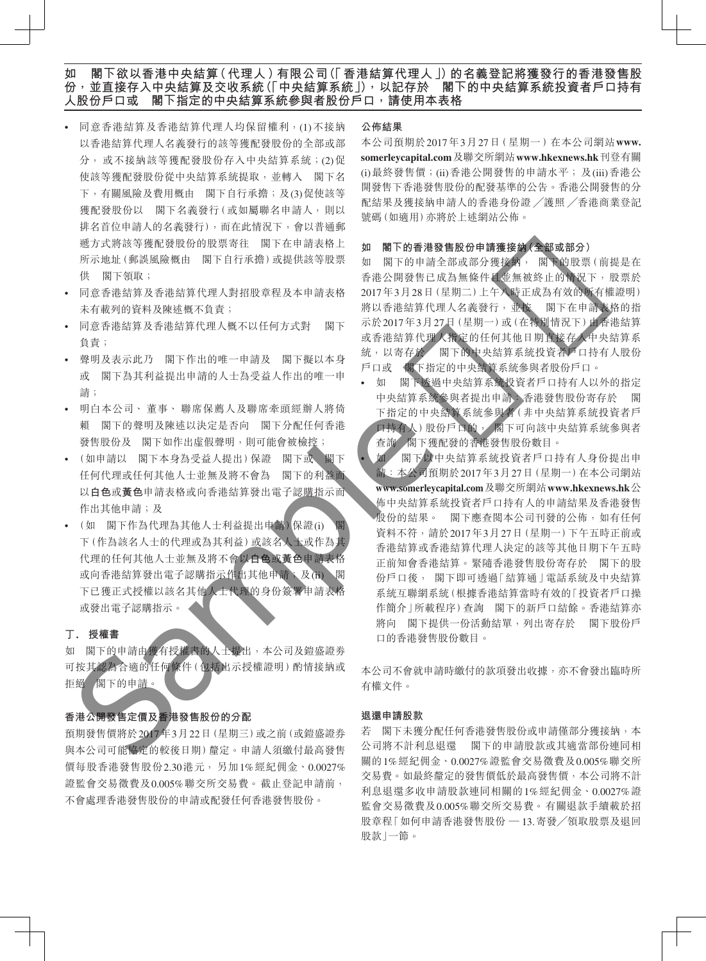- 同意香港結算及香港結算代理人均保留權利,(1)不接納 以香港結算代理人名義發行的該等獲配發股份的全部或部 分, 或不接納該等獲配發股份存入中央結算系統;(2)促 使該等獲配發股份從中央結算系統提取,並轉入 閣下名 下,有關風險及費用概由 閣下自行承擔;及(3)促使該等 獲配發股份以 閣下名義發行(或如屬聯名申請人,則以 排名首位申請人的名義發行),而在此情況下,會以普通郵 遞方式將該等獲配發股份的股票寄往 閣下在申請表格上 所示地址(郵誤風險概由 閣下自行承擔)或提供該等股票 供 閣下領取;
- 同意香港結算及香港結算代理人對招股章程及本申請表格 未有載列的資料及陳述概不負責;
- 同意香港結算及香港結算代理人概不以任何方式對 閣下 負責;
- 聲明及表示此乃 閣下作出的唯一申請及 閣下擬以本身 或 閣下為其利益提出申請的人士為受益人作出的唯一申 請;
- 明白本公司、 董事、 聯席保薦人及聯席牽頭經辦人將倚 賴 閣下的聲明及陳述以決定是否向 閣下分配任何香港 發售股份及 閣下如作出虛假聲明,則可能會被檢控;
- (如申請以 閣下本身為受益人提出)保證 閣下或 閣下 任何代理或任何其他人士並無及將不會為 閣下的利益而 以**白色**或**黃色**申請表格或向香港結算發出電子認購指示而 作出其他申請;及
- (如 閣下作為代理為其他人士利益提出申請) 保證(i) 下(作為該名人士的代理或為其利益)或該名人士或作為其 代理的任何其他人士並無及將不會以**白色**或**黃色**申請表格 或向香港結算發出電子認購指示作出其他申請;及(ii) 閣 下已獲正式授權以該名其他人士代理的身份簽署申請表格 或發出電子認購指示。

#### **丁. 授權書**

如 閣下的申請由獲有授權書的人士提出,本公司及鎧盛證券 可按其認為合適的任何條件(包括出示授權證明)酌情接納或 拒絕 閣下的申請。

## **香港公開發售定價及香港發售股份的分配**

預期發售價將於2017年3月22日(星期三)或之前(或鎧盛證券 與本公司可能協定的較後日期)釐定。申請人須繳付最高發售 價每股香港發售股份2.30港元, 另加1%經紀佣金、0.0027% 證監會交易徵費及0.005%聯交所交易費。截止登記申請前, 不會處理香港發售股份的申請或配發任何香港發售股份。

#### **公佈結果**

本公司預期於2017年3月27日( 星期一 )在本公司網站**www. somerleycapital.com**及聯交所網站**www.hkexnews.hk**刊登有關 (i)最終發售價;(ii)香港公開發售的申請水平; 及(iii)香港公 開發售下香港發售股份的配發基準的公告。香港公開發售的分 配結果及獲接納申請人的香港身份證 ╱護照 ╱香港商業登記 號碼(如適用)亦將於上述網站公佈。

#### **如 閣下的香港發售股份申請獲接納(全部或部分)**

如 閣下的申請全部或部分獲接納, 閣下的股票(前提是在 香港公開發售已成為無條件且並無被終止的情況下,股票於 2017年3月28日(星期二)上午八時正成為有效的所有權證明) 將以香港結算代理人名義發行,並按 閣下在申請表格的指 示於2017年3月27日(星期一)或(在特別情況下)由香港結算 或香港結算代理人指定的任何其他日期直接存入中央結算系 統,以寄存於 閣下的中央結算系統投資者戶口持有人股份 戶口或 閣下指定的中央結算系統參與者股份戶口。

- 如 閣下透過中央結算系統投資者戶口持有人以外的指定 中央結算系統參與者提出申請:香港發售股份寄存於 閣 下指定的中央結算系統參與者(非中央結算系統投資者戶 口持有人)股份戶口的, 閣下可向該中央結算系統參與者 查詢 閣下獲配發的香港發售股份數目。
- 如 閣下以中央結算系統投資者戶口持有人身份提出申 請:本公司預期於2017年3月27日(星期一)在本公司網站 **www.somerleycapital.com**及聯交所網站**www.hkexnews.hk**公 佈中央結算系統投資者戶口持有人的申請結果及香港發售 股份的結果。 閣下應查閱本公司刊發的公佈,如有任何 資料不符,請於2017年3月27日(星期一)下午五時正前或 香港結算或香港結算代理人決定的該等其他日期下午五時 正前知會香港結算。緊隨香港發售股份寄存於 閣下的股 份戶口後, 閣下即可透過「結算通」電話系統及中央結算 系統互聯網系統(根據香港結算當時有效的「投資者戶口操 作簡介 | 所載程序) 查詢 閣下的新戶口結餘。香港結算亦 將向 閣下提供一份活動結單,列出寄存於 閣下股份戶 口的香港發售股份數目。 5. 1990年、1990年、1990年、1991年、1992年、1992年、1992年、1992年、1992年、1992年、1992年、1992年、1992年、1992年、1992年、1992年、1992年、1992年、1992年、1992年、1992年、1992年、1992年、1992年、1992年、1992年、1992年、1992年、1992年、1992年、1992年、1992年、1992年、1992年、1992年、1992年

本公司不會就申請時繳付的款項發出收據,亦不會發出臨時所 有權文件。

#### **退還申請股款**

若 閣下未獲分配任何香港發售股份或申請僅部分獲接納,本 公司將不計利息退還 閣下的申請股款或其適當部份連同相 關的1%經紀佣金、0.0027%證監會交易徵費及0.005%聯交所 交易費。如最終釐定的發售價低於最高發售價,本公司將不計 利息退還多收申請股款連同相關的1%經紀佣金、0.0027%證 監會交易徵費及0.005%聯交所交易費。有關退款手續載於招 股章程「如何申請香港發售股份 — 13.寄發╱領取股票及退回 股款」一節。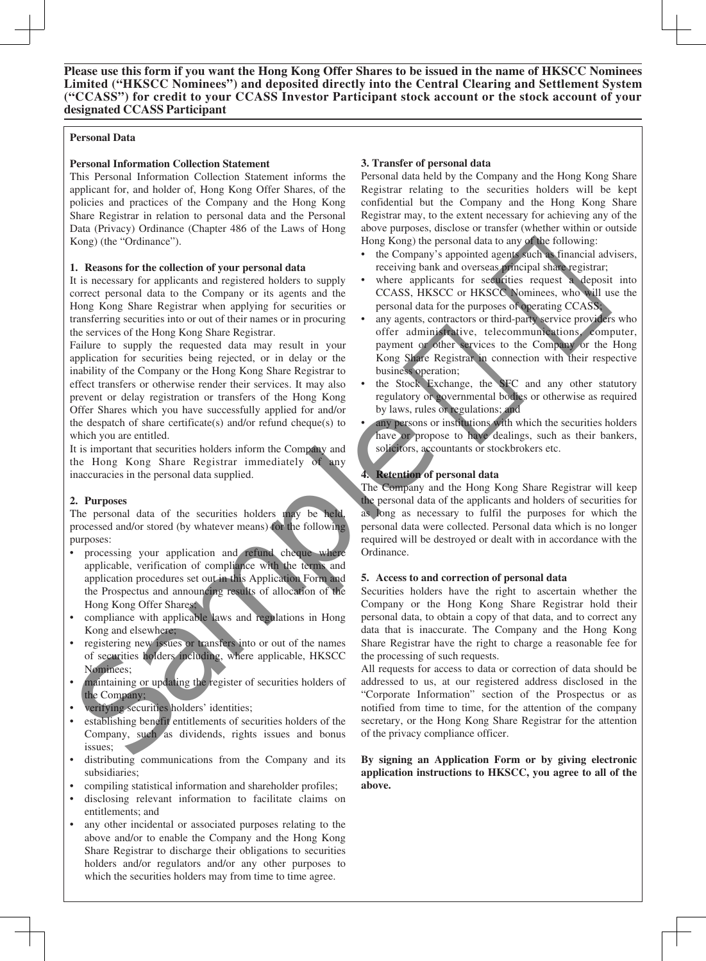## **Personal Data**

## **Personal Information Collection Statement**

This Personal Information Collection Statement informs the applicant for, and holder of, Hong Kong Offer Shares, of the policies and practices of the Company and the Hong Kong Share Registrar in relation to personal data and the Personal Data (Privacy) Ordinance (Chapter 486 of the Laws of Hong Kong) (the "Ordinance").

## **1. Reasons for the collection of your personal data**

It is necessary for applicants and registered holders to supply correct personal data to the Company or its agents and the Hong Kong Share Registrar when applying for securities or transferring securities into or out of their names or in procuring the services of the Hong Kong Share Registrar.

Failure to supply the requested data may result in your application for securities being rejected, or in delay or the inability of the Company or the Hong Kong Share Registrar to effect transfers or otherwise render their services. It may also prevent or delay registration or transfers of the Hong Kong Offer Shares which you have successfully applied for and/or the despatch of share certificate(s) and/or refund cheque(s) to which you are entitled.

It is important that securities holders inform the Company and the Hong Kong Share Registrar immediately of any inaccuracies in the personal data supplied.

## **2. Purposes**

The personal data of the securities holders may be held, processed and/or stored (by whatever means) for the following purposes:

- processing your application and refund cheque where applicable, verification of compliance with the terms and application procedures set out in this Application Form and the Prospectus and announcing results of allocation of the Hong Kong Offer Shares; The dispersion of the separation of the dispersion of the dispersion of the dispersion of the dispersion of the Hong Kong and the personal data of the securities holders inform the Company and the Hong Kong Share Registrar
- compliance with applicable laws and regulations in Hong Kong and elsewhere;
- registering new issues or transfers into or out of the names of securities holders including, where applicable, HKSCC Nominees;
- maintaining or updating the register of securities holders of the Company;
- verifying securities holders' identities;
- establishing benefit entitlements of securities holders of the Company, such as dividends, rights issues and bonus issues;
- distributing communications from the Company and its subsidiaries;
- compiling statistical information and shareholder profiles;
- disclosing relevant information to facilitate claims on entitlements; and
- any other incidental or associated purposes relating to the above and/or to enable the Company and the Hong Kong Share Registrar to discharge their obligations to securities holders and/or regulators and/or any other purposes to which the securities holders may from time to time agree.

## **3. Transfer of personal data**

Personal data held by the Company and the Hong Kong Share Registrar relating to the securities holders will be kept confidential but the Company and the Hong Kong Share Registrar may, to the extent necessary for achieving any of the above purposes, disclose or transfer (whether within or outside Hong Kong) the personal data to any of the following:

- the Company's appointed agents such as financial advisers, receiving bank and overseas principal share registrar;
- where applicants for securities request a deposit into CCASS, HKSCC or HKSCC Nominees, who will use the personal data for the purposes of operating CCASS;
- any agents, contractors or third-party service providers who offer administrative, telecommunications, computer, payment or other services to the Company or the Hong Kong Share Registrar in connection with their respective business operation; Extent necessary for achieving any of the<br>se or transfer (whether within or outside<br>nal data to any of the following:<br>oointed agents such as financial advisers,<br>overseas principal share registrar;<br>for securities request a
- the Stock Exchange, the SFC and any other statutory regulatory or governmental bodies or otherwise as required by laws, rules or regulations; and
- any persons or institutions with which the securities holders have or propose to have dealings, such as their bankers, solicitors, accountants or stockbrokers etc.

## **4. Retention of personal data**

The Company and the Hong Kong Share Registrar will keep the personal data of the applicants and holders of securities for as long as necessary to fulfil the purposes for which the personal data were collected. Personal data which is no longer required will be destroyed or dealt with in accordance with the Ordinance.

## **5. Access to and correction of personal data**

Securities holders have the right to ascertain whether the Company or the Hong Kong Share Registrar hold their personal data, to obtain a copy of that data, and to correct any data that is inaccurate. The Company and the Hong Kong Share Registrar have the right to charge a reasonable fee for the processing of such requests.

All requests for access to data or correction of data should be addressed to us, at our registered address disclosed in the "Corporate Information" section of the Prospectus or as notified from time to time, for the attention of the company secretary, or the Hong Kong Share Registrar for the attention of the privacy compliance officer.

**By signing an Application Form or by giving electronic application instructions to HKSCC, you agree to all of the above.**